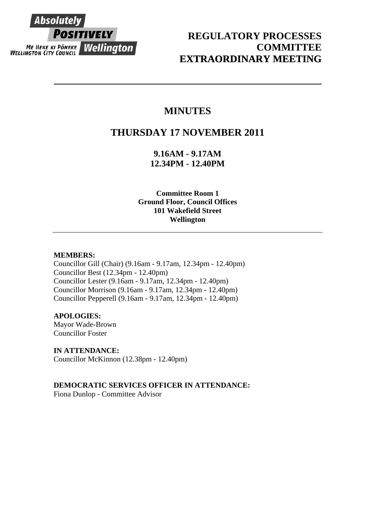

## **REGULATORY PROCESSES COMMITTEE EXTRAORDINARY MEETING**

# **MINUTES**

# **THURSDAY 17 NOVEMBER 2011**

**9.16AM - 9.17AM 12.34PM - 12.40PM** 

**Committee Room 1 Ground Floor, Council Offices 101 Wakefield Street Wellington** 

## **MEMBERS:**

Councillor Gill (Chair) (9.16am - 9.17am, 12.34pm - 12.40pm) Councillor Best (12.34pm - 12.40pm) Councillor Lester (9.16am - 9.17am, 12.34pm - 12.40pm) Councillor Morrison (9.16am - 9.17am, 12.34pm - 12.40pm) Councillor Pepperell (9.16am - 9.17am, 12.34pm - 12.40pm)

## **APOLOGIES:**

Mayor Wade-Brown Councillor Foster

**IN ATTENDANCE:**  Councillor McKinnon (12.38pm - 12.40pm)

**DEMOCRATIC SERVICES OFFICER IN ATTENDANCE:** 

Fiona Dunlop - Committee Advisor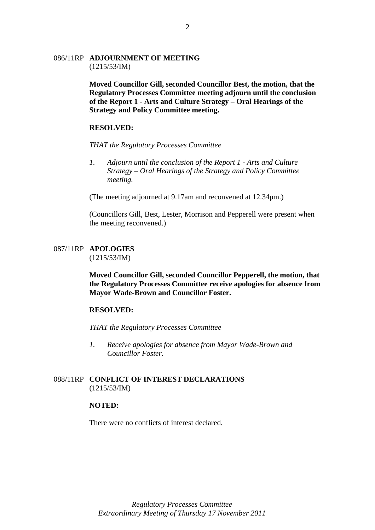### 086/11RP **ADJOURNMENT OF MEETING** (1215/53/IM)

**Moved Councillor Gill, seconded Councillor Best, the motion, that the Regulatory Processes Committee meeting adjourn until the conclusion of the Report 1 - Arts and Culture Strategy – Oral Hearings of the Strategy and Policy Committee meeting.** 

## **RESOLVED:**

*THAT the Regulatory Processes Committee* 

*1. Adjourn until the conclusion of the Report 1 - Arts and Culture Strategy – Oral Hearings of the Strategy and Policy Committee meeting.*

(The meeting adjourned at 9.17am and reconvened at 12.34pm.)

(Councillors Gill, Best, Lester, Morrison and Pepperell were present when the meeting reconvened.)

#### 087/11RP **APOLOGIES**  (1215/53/IM)

**Moved Councillor Gill, seconded Councillor Pepperell, the motion, that the Regulatory Processes Committee receive apologies for absence from Mayor Wade-Brown and Councillor Foster.** 

## **RESOLVED:**

*THAT the Regulatory Processes Committee* 

*1. Receive apologies for absence from Mayor Wade-Brown and Councillor Foster.* 

## 088/11RP **CONFLICT OF INTEREST DECLARATIONS** (1215/53/IM)

### **NOTED:**

There were no conflicts of interest declared.